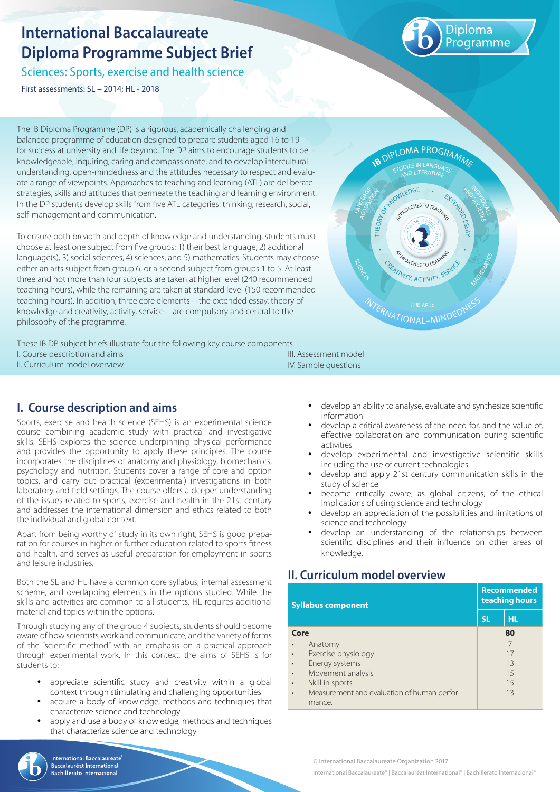# **International Baccalaureate Diploma Programme Subject Brief**

Sciences: Sports, exercise and health science

First assessments: SL – 2014; HL - 2018



MATHEMATICS

INDIVIDUALS

**AND ACTS** 

The IB Diploma Programme (DP) is a rigorous, academically challenging and balanced programme of education designed to prepare students aged 16 to 19 for success at university and life beyond. The DP aims to encourage students to be knowledgeable, inquiring, caring and compassionate, and to develop intercultural understanding, open-mindedness and the attitudes necessary to respect and evaluate a range of viewpoints. Approaches to teaching and learning (ATL) are deliberate strategies, skills and attitudes that permeate the teaching and learning environment. In the DP students develop skills from five ATL categories: thinking, research, social, self-management and communication.

To ensure both breadth and depth of knowledge and understanding, students must choose at least one subject from five groups: 1) their best language, 2) additional language(s), 3) social sciences, 4) sciences, and 5) mathematics. Students may choose either an arts subject from group 6, or a second subject from groups 1 to 5. At least three and not more than four subjects are taken at higher level (240 recommended teaching hours), while the remaining are taken at standard level (150 recommended teaching hours). In addition, three core elements—the extended essay, theory of knowledge and creativity, activity, service—are compulsory and central to the philosophy of the programme.

These IB DP subject briefs illustrate four the following key course components I. Course description and aims II. Curriculum model overview III. Assessment model

# IV. Sample questions

SCIENCES

ACOURSITOR LANGUAGE

# **I. Course description and aims**

Sports, exercise and health science (SEHS) is an experimental science course combining academic study with practical and investigative skills. SEHS explores the science underpinning physical performance and provides the opportunity to apply these principles. The course incorporates the disciplines of anatomy and physiology, biomechanics, psychology and nutrition. Students cover a range of core and option topics, and carry out practical (experimental) investigations in both laboratory and field settings. The course offers a deeper understanding of the issues related to sports, exercise and health in the 21st century and addresses the international dimension and ethics related to both the individual and global context.

Apart from being worthy of study in its own right, SEHS is good preparation for courses in higher or further education related to sports fitness and health, and serves as useful preparation for employment in sports and leisure industries.

Both the SL and HL have a common core syllabus, internal assessment scheme, and overlapping elements in the options studied. While the skills and activities are common to all students, HL requires additional material and topics within the options.

Through studying any of the group 4 subjects, students should become aware of how scientists work and communicate, and the variety of forms of the "scientific method" with an emphasis on a practical approach through experimental work. In this context, the aims of SEHS is for students to:

- appreciate scientific study and creativity within a global context through stimulating and challenging opportunities
- acquire a body of knowledge, methods and techniques that characterize science and technology
- apply and use a body of knowledge, methods and techniques that characterize science and technology



**International Baccalaureate** Baccalauréat International chillerato Internacional

develop an ability to analyse, evaluate and synthesize scientific information

**INTERNATIONAL-MINDEDNESS** 

**TY, ACTIVIT** 

**APPROACHES TO LEARNING** 

**IB DIPLOMA PROGRAMME** 

AND LITERATURE

THEORY AND THEORY OF CHANGE OF CHANGE OF CHANGE OF CHANGE OF CHANGE OF CHANGE OF CHANGE OF CHANGE OF CHANGE OF

RPROACHES TO TEACHING

- develop a critical awareness of the need for, and the value of, effective collaboration and communication during scientific activities
- develop experimental and investigative scientific skills including the use of current technologies
- develop and apply 21st century communication skills in the study of science
- become critically aware, as global citizens, of the ethical implications of using science and technology
- develop an appreciation of the possibilities and limitations of science and technology
- develop an understanding of the relationships between scientific disciplines and their influence on other areas of knowledge.

## **II. Curriculum model overview**

| <b>Syllabus component</b> |                                             | <b>Recommended</b><br>teaching hours |     |  |
|---------------------------|---------------------------------------------|--------------------------------------|-----|--|
|                           |                                             | <b>SL</b>                            | HL. |  |
| Core                      |                                             | 80                                   |     |  |
|                           | Anatomy                                     |                                      |     |  |
|                           | Exercise physiology                         |                                      | 17  |  |
|                           | Energy systems                              |                                      | 13  |  |
|                           | Movement analysis                           |                                      | 15  |  |
|                           | Skill in sports                             |                                      | 15  |  |
|                           | Measurement and evaluation of human perfor- |                                      | 13  |  |
|                           | mance.                                      |                                      |     |  |

© International Baccalaureate Organization 2017